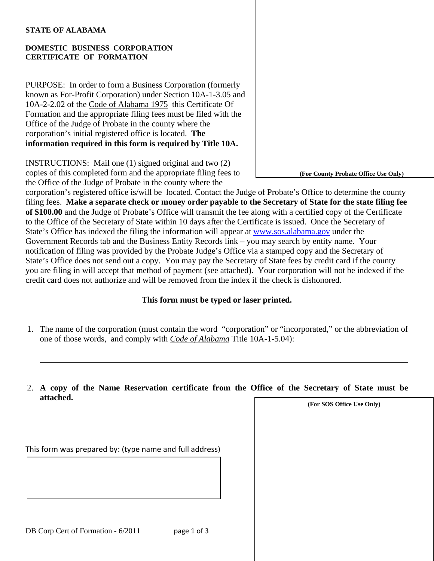#### **STATE OF ALABAMA**

 $\overline{a}$ 

### **DOMESTIC BUSINESS CORPORATION CERTIFICATE OF FORMATION**

PURPOSE: In order to form a Business Corporation (formerly known as For-Profit Corporation) under Section 10A-1-3.05 and 10A-2-2.02 of the Code of Alabama 1975 this Certificate Of Formation and the appropriate filing fees must be filed with the Office of the Judge of Probate in the county where the corporation's initial registered office is located. **The information required in this form is required by Title 10A.** 

INSTRUCTIONS: Mail one (1) signed original and two (2) copies of this completed form and the appropriate filing fees to the Office of the Judge of Probate in the county where the

corporation's registered office is/will be located. Contact the Judge of Probate's Office to determine the county filing fees. **Make a separate check or money order payable to the Secretary of State for the state filing fee of \$100.00** and the Judge of Probate's Office will transmit the fee along with a certified copy of the Certificate to the Office of the Secretary of State within 10 days after the Certificate is issued. Once the Secretary of State's Office has indexed the filing the information will appear at [www.sos.alabama.gov](http://www.sos.alabama.gov/) under the Government Records tab and the Business Entity Records link – you may search by entity name. Your notification of filing was provided by the Probate Judge's Office via a stamped copy and the Secretary of State's Office does not send out a copy. You may pay the Secretary of State fees by credit card if the county you are filing in will accept that method of payment (see attached). Your corporation will not be indexed if the credit card does not authorize and will be removed from the index if the check is dishonored.

## **This form must be typed or laser printed.**

- 1. The name of the corporation (must contain the word "corporation" or "incorporated," or the abbreviation of one of those words, and comply with *Code of Alabama* Title 10A-1-5.04):
- 2. **A copy of the Name Reservation certificate from the Office of the Secretary of State must be attached.**

**(For SOS Office Use Only)** 

**(For County Probate Office Use Only)**

This form was prepared by: (type name and full address)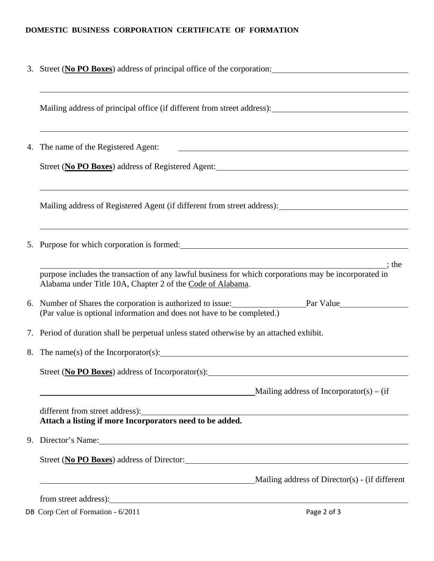# **DOMESTIC BUSINESS CORPORATION CERTIFICATE OF FORMATION**

| 3. Street (No PO Boxes) address of principal office of the corporation:                                                                                                                                                        |  |  |  |
|--------------------------------------------------------------------------------------------------------------------------------------------------------------------------------------------------------------------------------|--|--|--|
| Mailing address of principal office (if different from street address):                                                                                                                                                        |  |  |  |
| 4. The name of the Registered Agent:<br><u> 1980 - Andrea Barbara, amerikan personal (h. 1980).</u>                                                                                                                            |  |  |  |
| Street (No PO Boxes) address of Registered Agent:                                                                                                                                                                              |  |  |  |
| ,我们也不会有什么。""我们的人,我们也不会有什么?""我们的人,我们也不会有什么?""我们的人,我们也不会有什么?""我们的人,我们也不会有什么?""我们的人<br>Mailing address of Registered Agent (if different from street address): ____________________________                                       |  |  |  |
|                                                                                                                                                                                                                                |  |  |  |
| $\frac{1}{1}$ ; the<br>purpose includes the transaction of any lawful business for which corporations may be incorporated in<br>Alabama under Title 10A, Chapter 2 of the Code of Alabama.                                     |  |  |  |
| 6. Number of Shares the corporation is authorized to issue: Par Value<br>(Par value is optional information and does not have to be completed.)                                                                                |  |  |  |
| 7. Period of duration shall be perpetual unless stated otherwise by an attached exhibit.                                                                                                                                       |  |  |  |
|                                                                                                                                                                                                                                |  |  |  |
| Street (No PO Boxes) address of Incorporator(s):                                                                                                                                                                               |  |  |  |
| Mailing address of Incorporator(s) – (if                                                                                                                                                                                       |  |  |  |
| different from street address):<br>Attach a listing if more Incorporators need to be added.                                                                                                                                    |  |  |  |
| 9. Director's Name: 2008. [2016] The Contract of State State of State State State State State State State State State State State State State State State State State State State State State State State State State State St |  |  |  |
| Street (No PO Boxes) address of Director:                                                                                                                                                                                      |  |  |  |
| Mailing address of Director(s) - (if different                                                                                                                                                                                 |  |  |  |
|                                                                                                                                                                                                                                |  |  |  |

DB Corp Cert of Formation - 6/2011 Page 2 of 3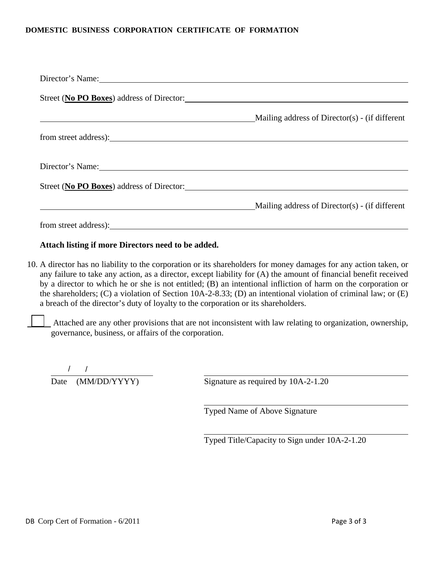### **DOMESTIC BUSINESS CORPORATION CERTIFICATE OF FORMATION**

| Director's Name:                                                                                               |                                                   |
|----------------------------------------------------------------------------------------------------------------|---------------------------------------------------|
| Street (No PO Boxes) address of Director:                                                                      |                                                   |
|                                                                                                                | Mailing address of $Directory(S)$ - (if different |
|                                                                                                                |                                                   |
| Director's Name: 1988 and 1988 and 1988 and 1988 and 1988 and 1988 and 1988 and 1988 and 1988 and 1988 and 198 |                                                   |
| Street (No PO Boxes) address of Director:                                                                      |                                                   |
|                                                                                                                | Mailing address of Director(s) - (if different    |
| from street address):                                                                                          |                                                   |

### **Attach listing if more Directors need to be added.**

- 10. A director has no liability to the corporation or its shareholders for money damages for any action taken, or any failure to take any action, as a director, except liability for (A) the amount of financial benefit received by a director to which he or she is not entitled; (B) an intentional infliction of harm on the corporation or the shareholders; (C) a violation of Section 10A-2-8.33; (D) an intentional violation of criminal law; or (E) a breach of the director's duty of loyalty to the corporation or its shareholders.
	- Attached are any other provisions that are not inconsistent with law relating to organization, ownership, governance, business, or affairs of the corporation.

Date (MM/DD/YYYY) Signature as required by 10A-2-1.20 / /

Typed Name of Above Signature

Typed Title/Capacity to Sign under 10A-2-1.20